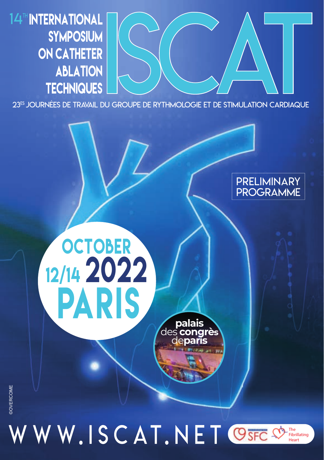14<sup>th</sup> INTERNATIONAL **SYMPOSIUM** ON CATHETER **ABLATION TECHNIQUES** 

**OCTOBER** 

12/14 2022

PARIS



## Preliminary PROGRAMME

# **DOVERCOME** ©OVERCOME

WW.ISCAT.NET OSFCS The Fibrillating **Heart** 

**palais** des **congrès** de**paris**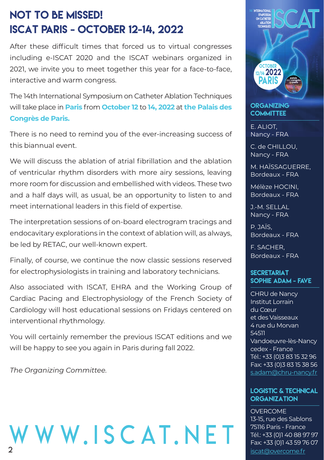## NOT TO BE MISSED! ISCAT Paris - October 12-14, 2022

After these difficult times that forced us to virtual congresses including e-ISCAT 2020 and the ISCAT webinars organized in 2021, we invite you to meet together this year for a face-to-face, interactive and warm congress.

The 14th International Symposium on Catheter Ablation Techniques will take place in **Paris** from **October 12** to **14, 2022** at **the Palais des Congrès de Paris.**

There is no need to remind you of the ever-increasing success of this biannual event.

We will discuss the ablation of atrial fibrillation and the ablation of ventricular rhythm disorders with more airy sessions, leaving more room for discussion and embellished with videos. These two and a half days will, as usual, be an opportunity to listen to and meet international leaders in this field of expertise.

The interpretation sessions of on-board electrogram tracings and endocavitary explorations in the context of ablation will, as always, be led by RETAC, our well-known expert.

Finally, of course, we continue the now classic sessions reserved for electrophysiologists in training and laboratory technicians.

Also associated with ISCAT, EHRA and the Working Group of Cardiac Pacing and Electrophysiology of the French Society of Cardiology will host educational sessions on Fridays centered on interventional rhythmology.

You will certainly remember the previous ISCAT editions and we will be happy to see you again in Paris during fall 2022.

*The Organizing Committee.*





**ORGANIZING COMMITTEE** 

E. ALIOT, Nancy - FRA

C. de CHILLOU, Nancy - FRA

M. HAÏSSAGUERRE, Bordeaux - FRA

Mélèze HOCINI, Bordeaux - FRA

J.-M. SELLAL Nancy - FRA

P. JAÏS, Bordeaux - FRA

F. SACHER, Bordeaux - FRA

#### **SECRETARIAT** Sophie ADAM - FAVE

CHRU de Nancy Institut Lorrain du Cœur et des Vaisseaux 4 rue du Morvan 54511 Vandoeuvre-lès-Nancy cedex - France Tél.: +33 (0)3 83 15 32 96 Fax: +33 (0)3 83 15 38 56 s.adam@chru-nancy.fr

#### LOGISTIC & TECHNICAL **ORGANIZATION**

OVERCOME 13-15, rue des Sablons 75116 Paris - France Tél.: +33 (0)1 40 88 97 97 Fax: +33 (0)1 43 59 76 07 iscat@overcome.fr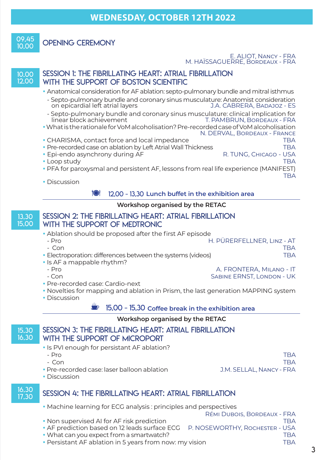$09.45$ 

## OPENING CEREMONY

## E. ALIOT, NANCY - FRA<br>M. HAÏSSAGUERRE, BORDEAUX - FRA

10.00 12.00

#### SESSION 1: THE FIBRILLATING HEART: ATRIAL FIBRILLATION WITH THE SUPPORT OF BOSTON SCIENTIFIC

- Anatomical consideration for AF ablation: septo-pulmonary bundle and mitral isthmus
- Septo-pulmonary bundle and coronary sinus musculature: Anatomist consideration on epicardial left atrial layers
- Septo-pulmonary bundle and coronary sinus musculature: clinical implication for T. PAMBRUN, BORDEAUX - FRA
- What is the rationale for VoM alcoholisation? Pre-recorded case of VoM alcoholisation N. DERVAL, BordeauX - France
- CHARISMA, contact force and local impedance TBA
- Pre-recorded case on ablation by Left Atrial Wall Thickness TBA
- Epi-endo asynchrony during AF R. TUNG, CHICAGO USA ROOP AT A RESERVE A RESERVE A RESERVE A RESERVE A RESERVE<br>RA RESERVE A RESERVE A RESERVE A RESERVE A RESERVE A RESERVE A RESERVE A RESERVE A RESERVE A RESERVE A RESERVE
- Loop study
- PFA for paroxysmal and persistent AF, lessons from real life experience (MANIFEST)
- TBA Discussion

#### 12.00 - 13.30 **Lunch buffet in the exhibition area**

#### **Workshop organised by the RETAC**

#### 13.30 15.00 Session 2: The Fibrillating Heart: Atrial Fibrillation with the support of Medtronic

- Ablation should be proposed after the first AF episode
- Pro H. PÜRERFELLNER, LinZ AT - Con TBA Electroporation: differences between the systems (videos) TBA
- Is AF a mappable rhythm?<br>- Pro
	-

- Pro A. FRONTERA, Milano - IT SABINE ERNST, LONDON - UK

- Pre-recorded case: Cardio-next
- Novelties for mapping and ablation in Prism, the last generation MAPPING system
- Discussion

K 15.00 - 15.30 **Coffee break in the exhibition area**

#### **Workshop organised by the RETAC**

#### 15.30 16.30 Session 3: The Fibrillating Heart: Atrial Fibrillation with the support of MicroPort

- Is PVI enough for persistant AF ablation?
- 

16.30<br>17.30

- 
- Pre-recorded case: laser balloon ablation J.M. SELLAL, NANCY FRA

- Pro TBA - Con TBA

• Discussion

### SESSION 4: THE FIBRILLATING HEART: ATRIAL FIBRILLATION

- Machine learning for ECG analysis : principles and perspectives
- RÉmi Dubois, BordeauX FRA • Non supervised AI for AF risk prediction the control of the TBA TBA • AF prediction based on 12 leads surface ECG P. NOSEWORTHY, ROCHESTER - USA • What can you expect from a smartwatch?<br>• Persistant AF ablation in 5 years from now: my vision and the most mediate that
- Persistant AF ablation in 5 years from now: my vision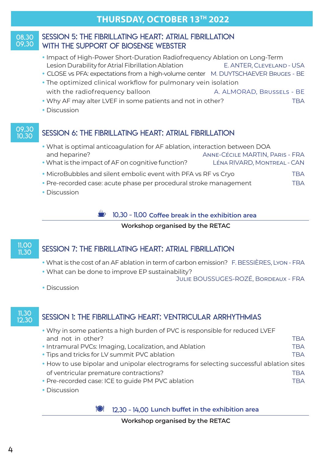## **THURSDAY, OCTOBER 13TH 2022**

#### 08.30 09.30

### Session 5: The Fibrillating Heart: Atrial Fibrillation with the support of Biosense Webster

- Impact of High-Power Short-Duration Radiofrequency Ablation on Long-Term Lesion Durability for Atrial Fibrillation Ablation E. ANTER, Cleveland - USA
- CLOSE vs PFA: expectations from a high-volume center M. DUYTSCHAEVER Bruges BE
- The optimized clinical workflow for pulmonary vein isolation with the radiofrequency balloon A. ALMORAD, BRUSSELS - BE
- Why AF may alter LVEF in some patients and not in other? THEA
- Discussion

#### 09.30<br>10.30 SESSION 6: THE FIBRILLATING HEART: ATRIAL FIBRILLATION

- What is optimal anticoagulation for AF ablation, interaction between DOA and heparine? Anne-CÉcile MARTIN, Paris - FRA What is the impact of AF on cognitive function? LÉna RIVARD, MonTreal - CAN
- MicroBubbles and silent embolic event with PFA vs RF vs Cryo TBA
- Pre-recorded case: acute phase per procedural stroke management TBA
- Discussion

#### 10.30 - 11.00 Coffee break in the exhibition area

#### **Workshop organised by the RETAC**

# 11.00

### SESSION 7: THE FIBRILLATING HEART: ATRIAL FIBRILLATION

- What is the cost of an AF ablation in term of carbon emission? F. BESSIÈRES, Lyon FRA
- What can be done to improve EP sustainability?
	- Julie BOUSSUGES-ROZÉ, BordeauX FRA

Discussion

# 11.30

### SESSION 1: THE FIBRILLATING HEART: VENTRICULAR ARRHYTHMIAS

- Why in some patients a high burden of PVC is responsible for reduced LVEF and not in other? TBA
- Intramural PVCs: Imaging, Localization, and Ablation The TBA • Tips and tricks for LV summit PVC ablation TBA
	- How to use bipolar and unipolar electrograms for selecting successful ablation sites of ventricular premature contractions? TBA
	- Pre-recorded case: ICE to quide PM PVC ablation TBA
	- Discussion

12.30 - 14.00 **Lunch buffet in the exhibition area**

 **Workshop organised by the RETAC**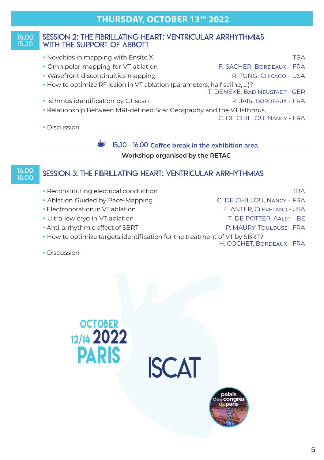#### 14.00 15.30 Session 2: The Fibrillating Heart: Ventricular Arrhythmias WITH THE SUPPORT OF ABBOTT

- Novelties in mapping with Ensite X TBA
- Omnipolar mapping for VT ablation F. SACHER, BORDEAUX FRA
- Wavefront discontinuities mapping The R. TUNG, CHICAGO USA
- How to optimize RF lesion in VT ablation (parameters, half saline, …)?
- Isthmus identification by CT scan P. JAÏS, Bordeaux FRA
- Relationship Between MRI-defined Scar Geography and the VT Isthmus

C. DE CHILLOU, Nancy - FRA

T. DENEKE, Bad NeusTadT - GER

Discussion

K 15.30 - 16.00 **Coffee break in the exhibition area**

#### **Workshop organised by the RETAC**

# 16.00<br>18.00

### 18.00 Session 3: The Fibrillating Heart: Ventricular Arrhythmias

- Reconstituting electrical conduction TBA
- Ablation Guided by Pace-Mapping C. DE CHILLOU, Nancy FRA
- Electroporation in VT ablation E. ANTER, CLEVELAND USA
- Ultra-low cryo in VT ablation T. DE POTTER, AALST BE
- Anti-arrhythmic effect of SBRT P. MAURY, Toulouse FRA
- How to optimize targets identification for the treatment of VT by SBRT?
	- H. COCHET, BordeauX FRA

• Discussion

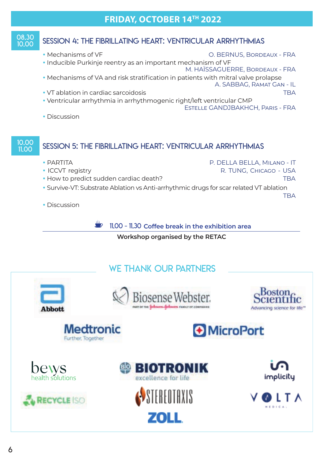## **FRIDAY, OCTOBER 14TH 2022**

#### 08.30 SESSION 4: THE FIBRILLATING HEART: VENTRICULAR ARRHYTHMIAS

 Mechanisms of VF O. BERNUS, BordeauX - FRA Inducible Purkinje reentry as an important mechanism of VF M. HAÏSSAGUERRE, BordeauX - FRA

• Mechanisms of VA and risk stratification in patients with mitral valve prolapse

A. SABBAG, RamaT Gan - IL

- VT ablation in cardiac sarcoidosis TBA
- Ventricular arrhythmia in arrhythmogenic right/left ventricular CMP EsTelle GANDJBAKHCH, Paris - FRA
- Discussion

#### 10.00<br>11.00 SESSION 5: THE FIBRILLATING HEART: VENTRICULAR ARRHYTHMIAS

- PARTITA P. DELLA BELLA, Milano IT • ICCVT registry **Alternative Community Community** R. TUNG, CHICAGO - USA • How to predict sudden cardiac death? TBA Survive-VT: Substrate Ablation vs Anti-arrhythmic drugs for scar related VT ablation TBA
- Discussion

**K** 11.00 - 11.30 Coffee break in the exhibition area

 **Workshop organised by the RETAC**

## WE THANK OUR PARTNERS

















70I I



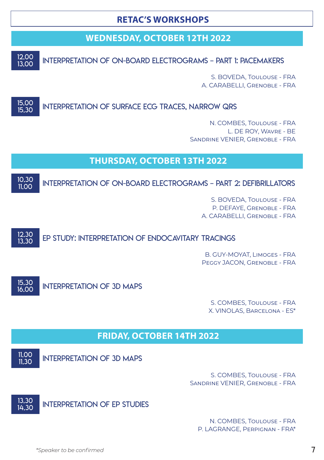## **RETAC'S WORKSHOPS**

## **WEDNESDAY, OCTOBER 12TH 2022**

12.00<br>13.00

13.00 Interpretation of on-board electrograms – part 1: Pacemakers

S. BOVEDA, Toulouse - FRA A. CARABELLI, Grenoble - FRA

#### 15.00<br>15.30 INTERPRETATION OF SURFACE ECG TRACES, NARROW QRS

N. COMBES, Toulouse - FRA L. DE ROY, Wavre - BE Sandrine VENIER, Grenoble - FRA

## **THURSDAY, OCTOBER 13TH 2022**

10.30<br>11.00 INTERPRETATION OF ON-BOARD ELECTROGRAMS - PART 2: DEFIBRILLATORS

> S. BOVEDA, Toulouse - FRA P. DEFAYE, Grenoble - FRA A. CARABELLI, Grenoble - FRA

12.30<br>13.30 EP STUDY: INTERPRETATION OF ENDOCAVITARY TRACINGS

> B. GUY-MOYAT, Limoges - FRA Peggy JACON, Grenoble - FRA



INTERPRETATION OF 3D MAPS

S. COMBES, Toulouse - FRA X. VINOLAS, Barcelona - ES\*

## **FRIDAY, OCTOBER 14TH 2022**

 $11.00$ <br> $11.30$ 

INTERPRETATION OF 3D MAPS

S. COMBES, Toulouse - FRA Sandrine VENIER, Grenoble - FRA



N. COMBES, Toulouse - FRA P. LAGRANGE, Perpignan - FRA\*